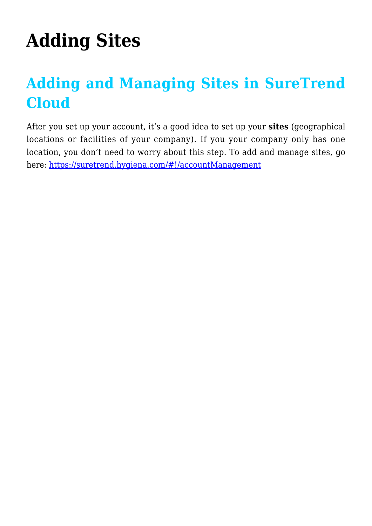## **[Adding Sites](https://help.hygiena.com/manual/adding-sites-3/)**

## **Adding and Managing Sites in SureTrend Cloud**

After you set up your account, it's a good idea to set up your **sites** (geographical locations or facilities of your company). If you your company only has one location, you don't need to worry about this step. To add and manage sites, go here:<https://suretrend.hygiena.com/#!/accountManagement>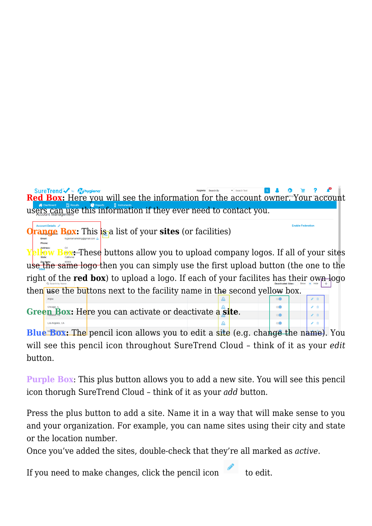SureTrend w My hygiena **Red Box:** Here you will see the information for the account owner. Your account users can use this information if they ever need to contact you.

**Friable Federation** 

**Orange Box:** This **is** a list of your **sites** (or facilities)

Phone:

**Pliow Box:** These buttons allow you to upload company logos. If all of your sites use the same logo then you can simply use the first upload button (the one to the right of the **red box**) to upload a logo. If each of your facilites has their own logo then use the buttons next to the facility name in the second yellow box.

**Green Box:** Here you can activate or deactivate a **site**.

**Blue Box:** The pencil icon allows you to edit a site (e.g. change the name). You will see this pencil icon throughout SureTrend Cloud – think of it as your *edit* button.

**Purple Box**: This plus button allows you to add a new site. You will see this pencil icon thorugh SureTrend Cloud – think of it as your *add* button.

Press the plus button to add a site. Name it in a way that will make sense to you and your organization. For example, you can name sites using their city and state or the location number.

Once you've added the sites, double-check that they're all marked as *active*.

If you need to make changes, click the pencil icon to edit.